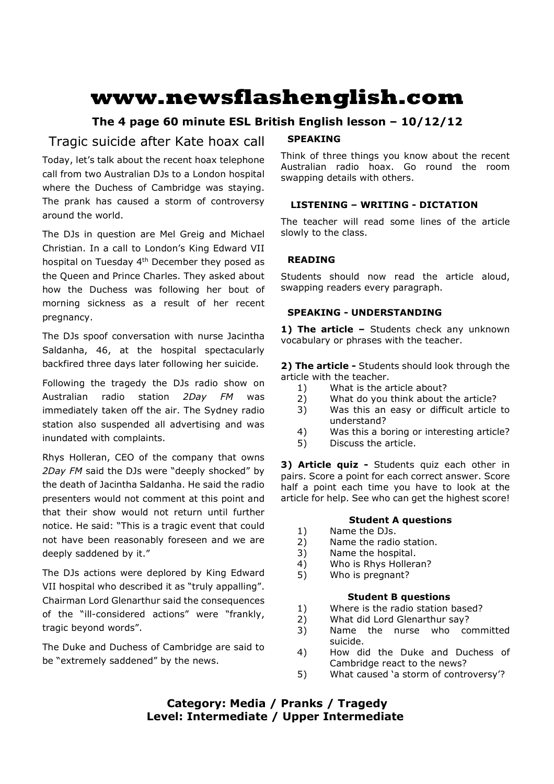# **www.newsflashenglish.com**

# **The 4 page 60 minute ESL British English lesson – 10/12/12**

# Tragic suicide after Kate hoax call

Today, let's talk about the recent hoax telephone call from two Australian DJs to a London hospital where the Duchess of Cambridge was staying. The prank has caused a storm of controversy around the world.

The DJs in question are Mel Greig and Michael Christian. In a call to London's King Edward VII hospital on Tuesday 4<sup>th</sup> December they posed as the Queen and Prince Charles. They asked about how the Duchess was following her bout of morning sickness as a result of her recent pregnancy.

The DJs spoof conversation with nurse Jacintha Saldanha, 46, at the hospital spectacularly backfired three days later following her suicide.

Following the tragedy the DJs radio show on Australian radio station *2Day FM* was immediately taken off the air. The Sydney radio station also suspended all advertising and was inundated with complaints.

Rhys Holleran, CEO of the company that owns *2Day FM* said the DJs were "deeply shocked" by the death of Jacintha Saldanha. He said the radio presenters would not comment at this point and that their show would not return until further notice. He said: "This is a tragic event that could not have been reasonably foreseen and we are deeply saddened by it."

The DJs actions were deplored by King Edward VII hospital who described it as "truly appalling". Chairman Lord Glenarthur said the consequences of the "ill-considered actions" were "frankly, tragic beyond words".

The Duke and Duchess of Cambridge are said to be "extremely saddened" by the news.

# **SPEAKING**

Think of three things you know about the recent Australian radio hoax. Go round the room swapping details with others.

# **LISTENING – WRITING - DICTATION**

The teacher will read some lines of the article slowly to the class.

# **READING**

Students should now read the article aloud, swapping readers every paragraph.

# **SPEAKING - UNDERSTANDING**

1) The article - Students check any unknown vocabulary or phrases with the teacher.

**2) The article -** Students should look through the article with the teacher.

- 1) What is the article about?
- 2) What do you think about the article?
- 3) Was this an easy or difficult article to understand?
- 4) Was this a boring or interesting article?
- 5) Discuss the article.

**3) Article quiz -** Students quiz each other in pairs. Score a point for each correct answer. Score half a point each time you have to look at the article for help. See who can get the highest score!

# **Student A questions**

- 1) Name the DJs.
- 2) Name the radio station.
- 3) Name the hospital.
- 4) Who is Rhys Holleran?
- 5) Who is pregnant?

# **Student B questions**

- 1) Where is the radio station based?
- 2) What did Lord Glenarthur say?
- 3) Name the nurse who committed suicide.
- 4) How did the Duke and Duchess of Cambridge react to the news?
- 5) What caused 'a storm of controversy'?

# **Category: Media / Pranks / Tragedy Level: Intermediate / Upper Intermediate**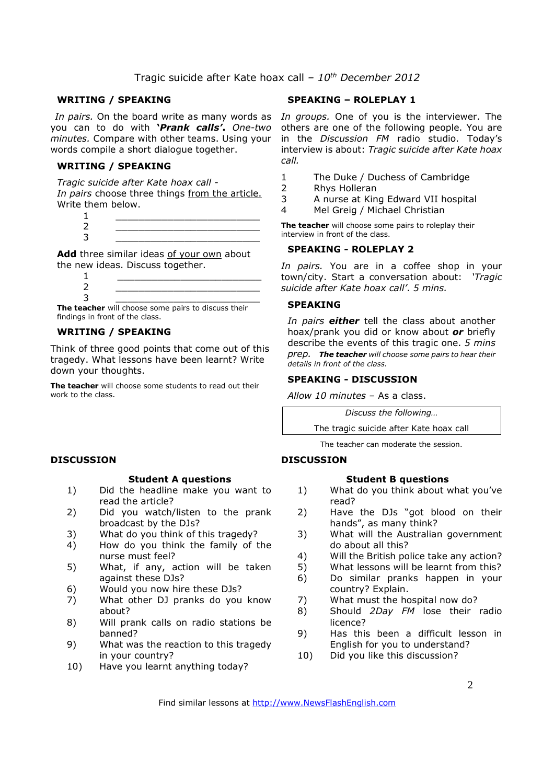#### **WRITING / SPEAKING**

you can to do with **'***Prank calls'***.** *One-two minutes.* Compare with other teams. Using your words compile a short dialogue together.

#### **WRITING / SPEAKING**

*Tragic suicide after Kate hoax call - In pairs* choose three things from the article. Write them below.

 1 \_\_\_\_\_\_\_\_\_\_\_\_\_\_\_\_\_\_\_\_\_\_\_\_\_ 2 \_\_\_\_\_\_\_\_\_\_\_\_\_\_\_\_\_\_\_\_\_\_\_\_\_ 3 \_\_\_\_\_\_\_\_\_\_\_\_\_\_\_\_\_\_\_\_\_\_\_\_\_

Add three similar ideas of your own about the new ideas. Discuss together.

**The teacher** will choose some pairs to discuss their findings in front of the class.

### **WRITING / SPEAKING**

Think of three good points that come out of this tragedy. What lessons have been learnt? Write down your thoughts.

**The teacher** will choose some students to read out their work to the class.

#### **DISCUSSION**

#### **Student A questions**

- 1) Did the headline make you want to read the article?
- 2) Did you watch/listen to the prank broadcast by the DJs?
- 3) What do you think of this tragedy?
- 4) How do you think the family of the nurse must feel?
- 5) What, if any, action will be taken against these DJs?
- 6) Would you now hire these DJs?
- 7) What other DJ pranks do you know about?
- 8) Will prank calls on radio stations be banned?
- 9) What was the reaction to this tragedy in your country?
- 10) Have you learnt anything today?

### **SPEAKING – ROLEPLAY 1**

In pairs. On the board write as many words as In groups. One of you is the interviewer. The others are one of the following people. You are in the *Discussion FM* radio studio. Today's interview is about: *Tragic suicide after Kate hoax call.* 

- 1 The Duke / Duchess of Cambridge
- 2 Rhys Holleran
- 3 A nurse at King Edward VII hospital
- 4 Mel Greig / Michael Christian

**The teacher** will choose some pairs to roleplay their interview in front of the class.

#### **SPEAKING - ROLEPLAY 2**

*In pairs.* You are in a coffee shop in your town/city. Start a conversation about: *'Tragic suicide after Kate hoax call'*. *5 mins.* 

#### **SPEAKING**

*In pairs either* tell the class about another hoax/prank you did or know about *or* briefly describe the events of this tragic one. *5 mins prep. The teacher will choose some pairs to hear their details in front of the class.* 

#### **SPEAKING - DISCUSSION**

*Allow 10 minutes* – As a class.

*Discuss the following…* 

The tragic suicide after Kate hoax call

The teacher can moderate the session.

#### **DISCUSSION**

#### **Student B questions**

- 1) What do you think about what you've read?
- 2) Have the DJs "got blood on their hands", as many think?
- 3) What will the Australian government do about all this?
- 4) Will the British police take any action?
- 5) What lessons will be learnt from this?
- 6) Do similar pranks happen in your country? Explain.
- 7) What must the hospital now do?
- 8) Should *2Day FM* lose their radio licence?
- 9) Has this been a difficult lesson in English for you to understand?
- 10) Did you like this discussion?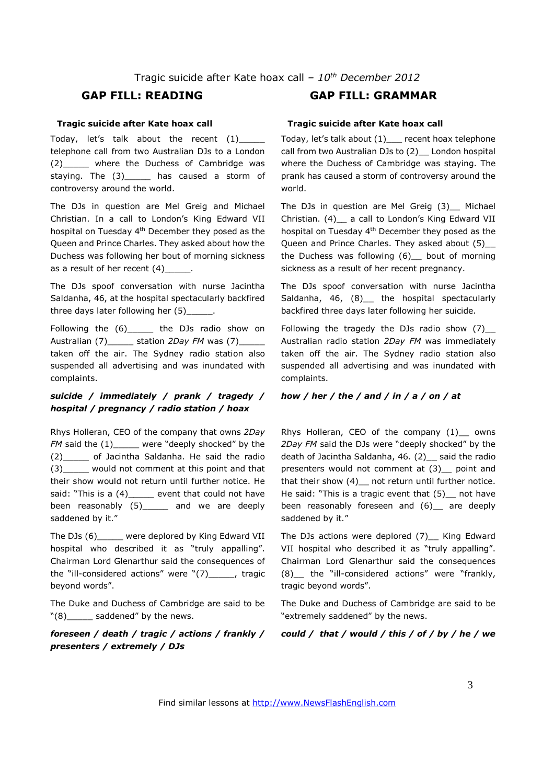#### **Tragic suicide after Kate hoax call**

Today, let's talk about the recent (1)\_\_\_\_\_ telephone call from two Australian DJs to a London (2)\_\_\_\_\_ where the Duchess of Cambridge was staying. The (3)\_\_\_\_\_\_ has caused a storm of controversy around the world.

The DJs in question are Mel Greig and Michael Christian. In a call to London's King Edward VII hospital on Tuesday 4<sup>th</sup> December they posed as the Queen and Prince Charles. They asked about how the Duchess was following her bout of morning sickness as a result of her recent  $(4)$ 

The DJs spoof conversation with nurse Jacintha Saldanha, 46, at the hospital spectacularly backfired three days later following her (5)

Following the (6)\_\_\_\_\_\_ the DJs radio show on Australian (7)\_\_\_\_\_ station *2Day FM* was (7)\_\_\_\_\_ taken off the air. The Sydney radio station also suspended all advertising and was inundated with complaints.

### *suicide / immediately / prank / tragedy / hospital / pregnancy / radio station / hoax*

Rhys Holleran, CEO of the company that owns *2Day FM* said the  $(1)$ \_\_\_\_\_ were "deeply shocked" by the (2)\_\_\_\_\_ of Jacintha Saldanha. He said the radio (3)\_\_\_\_\_ would not comment at this point and that their show would not return until further notice. He said: "This is a (4) \_\_\_\_\_ event that could not have been reasonably  $(5)$  and we are deeply saddened by it."

The DJs (6)\_\_\_\_\_ were deplored by King Edward VII hospital who described it as "truly appalling". Chairman Lord Glenarthur said the consequences of the "ill-considered actions" were "(7)\_\_\_\_\_, tragic beyond words".

The Duke and Duchess of Cambridge are said to be  $"(8)$  saddened" by the news.

*foreseen / death / tragic / actions / frankly / presenters / extremely / DJs*

# **GAP FILL: READING GAP FILL: GRAMMAR**

#### **Tragic suicide after Kate hoax call**

Today, let's talk about (1)\_\_\_ recent hoax telephone call from two Australian DJs to (2)\_\_ London hospital where the Duchess of Cambridge was staying. The prank has caused a storm of controversy around the world.

The DJs in question are Mel Greig (3) Michael Christian. (4)\_\_ a call to London's King Edward VII hospital on Tuesday 4th December they posed as the Queen and Prince Charles. They asked about (5)\_ the Duchess was following (6)\_\_ bout of morning sickness as a result of her recent pregnancy.

The DJs spoof conversation with nurse Jacintha Saldanha, 46, (8) the hospital spectacularly backfired three days later following her suicide.

Following the tragedy the DJs radio show  $(7)$ \_ Australian radio station *2Day FM* was immediately taken off the air. The Sydney radio station also suspended all advertising and was inundated with complaints.

#### *how / her / the / and / in / a / on / at*

Rhys Holleran, CEO of the company (1) \_ owns *2Day FM* said the DJs were "deeply shocked" by the death of Jacintha Saldanha, 46. (2) \_ said the radio presenters would not comment at (3)\_\_ point and that their show (4) \_ not return until further notice. He said: "This is a tragic event that (5) not have been reasonably foreseen and (6) are deeply saddened by it."

The DJs actions were deplored (7)\_ King Edward VII hospital who described it as "truly appalling". Chairman Lord Glenarthur said the consequences (8)\_\_ the "ill-considered actions" were "frankly, tragic beyond words".

The Duke and Duchess of Cambridge are said to be "extremely saddened" by the news.

*could / that / would / this / of / by / he / we*